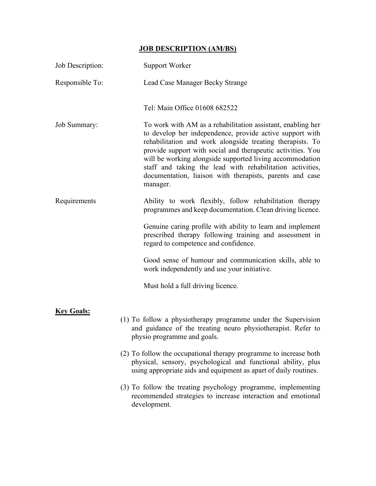## JOB DESCRIPTION (AM/BS)

| Job Description:  | <b>Support Worker</b>                                                                                                                                                                                                                                                                                                                                                                                                                                                                                                   |
|-------------------|-------------------------------------------------------------------------------------------------------------------------------------------------------------------------------------------------------------------------------------------------------------------------------------------------------------------------------------------------------------------------------------------------------------------------------------------------------------------------------------------------------------------------|
| Responsible To:   | Lead Case Manager Becky Strange                                                                                                                                                                                                                                                                                                                                                                                                                                                                                         |
|                   | Tel: Main Office 01608 682522                                                                                                                                                                                                                                                                                                                                                                                                                                                                                           |
| Job Summary:      | To work with AM as a rehabilitation assistant, enabling her<br>to develop her independence, provide active support with<br>rehabilitation and work alongside treating therapists. To<br>provide support with social and therapeutic activities. You<br>will be working alongside supported living accommodation<br>staff and taking the lead with rehabilitation activities,<br>documentation, liaison with therapists, parents and case<br>manager.                                                                    |
| Requirements      | Ability to work flexibly, follow rehabilitation therapy<br>programmes and keep documentation. Clean driving licence.                                                                                                                                                                                                                                                                                                                                                                                                    |
|                   | Genuine caring profile with ability to learn and implement<br>prescribed therapy following training and assessment in<br>regard to competence and confidence.                                                                                                                                                                                                                                                                                                                                                           |
|                   | Good sense of humour and communication skills, able to<br>work independently and use your initiative.                                                                                                                                                                                                                                                                                                                                                                                                                   |
|                   | Must hold a full driving licence.                                                                                                                                                                                                                                                                                                                                                                                                                                                                                       |
| <b>Key Goals:</b> | (1) To follow a physiotherapy programme under the Supervision<br>and guidance of the treating neuro physiotherapist. Refer to<br>physio programme and goals.<br>(2) To follow the occupational therapy programme to increase both<br>physical, sensory, psychological and functional ability, plus<br>using appropriate aids and equipment as apart of daily routines.<br>(3) To follow the treating psychology programme, implementing<br>recommended strategies to increase interaction and emotional<br>development. |
|                   |                                                                                                                                                                                                                                                                                                                                                                                                                                                                                                                         |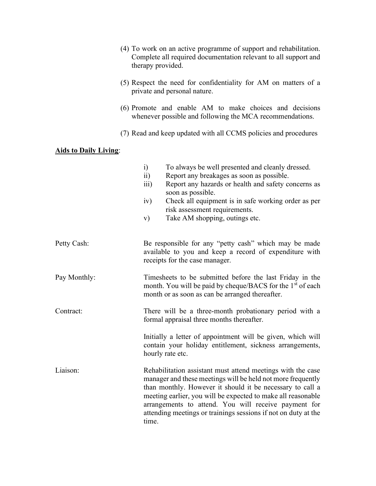- (4) To work on an active programme of support and rehabilitation. Complete all required documentation relevant to all support and therapy provided.
- (5) Respect the need for confidentiality for AM on matters of a private and personal nature.
- (6) Promote and enable AM to make choices and decisions whenever possible and following the MCA recommendations.
- (7) Read and keep updated with all CCMS policies and procedures

## Aids to Daily Living:

|              | $\ddot{i}$<br>To always be well presented and cleanly dressed.<br>$\ddot{i}$<br>Report any breakages as soon as possible.<br>Report any hazards or health and safety concerns as<br>$\overline{111}$ )<br>soon as possible.<br>Check all equipment is in safe working order as per<br>iv)<br>risk assessment requirements.<br>Take AM shopping, outings etc.<br>V)                         |  |  |  |  |  |
|--------------|--------------------------------------------------------------------------------------------------------------------------------------------------------------------------------------------------------------------------------------------------------------------------------------------------------------------------------------------------------------------------------------------|--|--|--|--|--|
| Petty Cash:  | Be responsible for any "petty cash" which may be made<br>available to you and keep a record of expenditure with<br>receipts for the case manager.                                                                                                                                                                                                                                          |  |  |  |  |  |
| Pay Monthly: | Timesheets to be submitted before the last Friday in the<br>month. You will be paid by cheque/BACS for the 1 <sup>st</sup> of each<br>month or as soon as can be arranged thereafter.                                                                                                                                                                                                      |  |  |  |  |  |
| Contract:    | There will be a three-month probationary period with a<br>formal appraisal three months thereafter.                                                                                                                                                                                                                                                                                        |  |  |  |  |  |
|              | Initially a letter of appointment will be given, which will<br>contain your holiday entitlement, sickness arrangements,<br>hourly rate etc.                                                                                                                                                                                                                                                |  |  |  |  |  |
| Liaison:     | Rehabilitation assistant must attend meetings with the case<br>manager and these meetings will be held not more frequently<br>than monthly. However it should it be necessary to call a<br>meeting earlier, you will be expected to make all reasonable<br>arrangements to attend. You will receive payment for<br>attending meetings or trainings sessions if not on duty at the<br>time. |  |  |  |  |  |